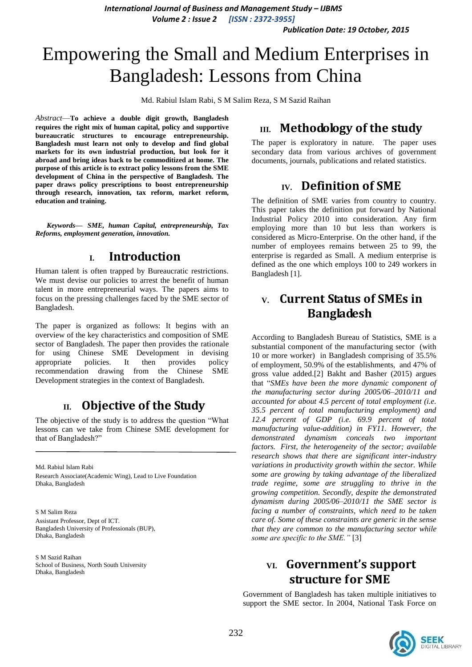*International Journal of Business and Management Study – IJBMS Volume 2 : Issue 2 [ISSN : 2372-3955]*

*Publication Date: 19 October, 2015*

# Empowering the Small and Medium Enterprises in Bangladesh: Lessons from China

Md. Rabiul Islam Rabi, S M Salim Reza, S M Sazid Raihan

*Abstract*—**To achieve a double digit growth, Bangladesh requires the right mix of human capital, policy and supportive bureaucratic structures to encourage entrepreneurship. Bangladesh must learn not only to develop and find global markets for its own industrial production, but look for it abroad and bring ideas back to be commoditized at home. The purpose of this article is to extract policy lessons from the SME development of China in the perspective of Bangladesh. The paper draws policy prescriptions to boost entrepreneurship through research, innovation, tax reform, market reform, education and training.** 

*Keywords— SME, human Capital, entrepreneurship, Tax Reforms, employment generation, innovation.*

### **I. Introduction**

Human talent is often trapped by Bureaucratic restrictions. We must devise our policies to arrest the benefit of human talent in more entrepreneurial ways. The papers aims to focus on the pressing challenges faced by the SME sector of Bangladesh.

The paper is organized as follows: It begins with an overview of the key characteristics and composition of SME sector of Bangladesh. The paper then provides the rationale for using Chinese SME Development in devising appropriate policies. It then provides policy recommendation drawing from the Chinese SME Development strategies in the context of Bangladesh.

### **II. Objective of the Study**

The objective of the study is to address the question "What lessons can we take from Chinese SME development for that of Bangladesh?"

Md. Rabiul Islam Rabi Research Associate(Academic Wing), Lead to Live Foundation Dhaka, Bangladesh

S M Salim Reza Assistant Professor, Dept of ICT. Bangladesh University of Professionals (BUP), Dhaka, Bangladesh

S M Sazid Raihan School of Business, North South University Dhaka, Bangladesh

## **III. Methodology of the study**

The paper is exploratory in nature. The paper uses secondary data from various archives of government documents, journals, publications and related statistics.

### **IV. Definition of SME**

The definition of SME varies from country to country. This paper takes the definition put forward by National Industrial Policy 2010 into consideration. Any firm employing more than 10 but less than workers is considered as Micro-Enterprise. On the other hand, if the number of employees remains between 25 to 99, the enterprise is regarded as Small. A medium enterprise is defined as the one which employs 100 to 249 workers in Bangladesh [1].

# **V. Current Status of SMEs in Bangladesh**

According to Bangladesh Bureau of Statistics, SME is a substantial component of the manufacturing sector (with 10 or more worker) in Bangladesh comprising of 35.5% of employment, 50.9% of the establishments, and 47% of gross value added.[2] Bakht and Basher (2015) argues that "*SMEs have been the more dynamic component of the manufacturing sector during 2005/06–2010/11 and accounted for about 4.5 percent of total employment (i.e. 35.5 percent of total manufacturing employment) and 12.4 percent of GDP (i.e. 69.9 percent of total manufacturing value-addition) in FY11. However, the demonstrated dynamism conceals two important factors. First, the heterogeneity of the sector; available research shows that there are significant inter-industry variations in productivity growth within the sector. While some are growing by taking advantage of the liberalized trade regime, some are struggling to thrive in the growing competition. Secondly, despite the demonstrated dynamism during 2005/06–2010/11 the SME sector is facing a number of constraints, which need to be taken care of. Some of these constraints are generic in the sense that they are common to the manufacturing sector while some are specific to the SME."* [3]

# **VI. Government's support structure for SME**

Government of Bangladesh has taken multiple initiatives to support the SME sector. In 2004, National Task Force on

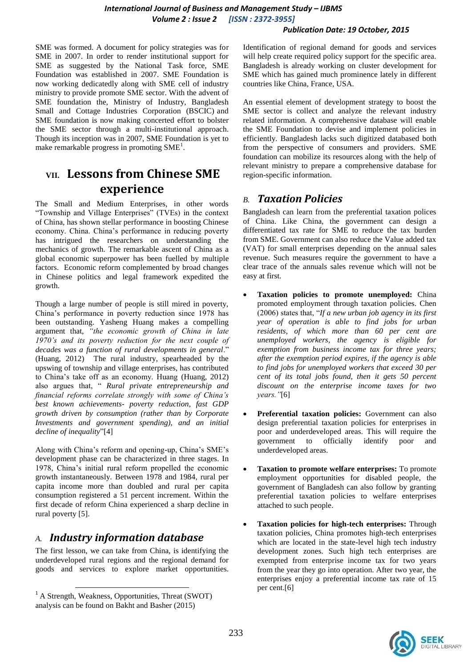#### *International Journal of Business and Management Study – IJBMS Volume 2 : Issue 2 [ISSN : 2372-3955]*

#### *Publication Date: 19 October, 2015*

SME was formed. A document for policy strategies was for SME in 2007. In order to render institutional support for SME as suggested by the National Task force, SME Foundation was established in 2007. SME Foundation is now working dedicatedly along with SME cell of industry ministry to provide promote SME sector. With the advent of SME foundation the, Ministry of Industry, Bangladesh Small and Cottage Industries Corporation (BSCIC) and SME foundation is now making concerted effort to bolster the SME sector through a multi-institutional approach. Though its inception was in 2007, SME Foundation is yet to make remarkable progress in promoting SME<sup>1</sup>.

# **VII. Lessons from Chinese SME experience**

The Small and Medium Enterprises, in other words "Township and Village Enterprises" (TVEs) in the context of China, has shown stellar performance in boosting Chinese economy. China. China's performance in reducing poverty has intrigued the researchers on understanding the mechanics of growth. The remarkable ascent of China as a global economic superpower has been fuelled by multiple factors. Economic reform complemented by broad changes in Chinese politics and legal framework expedited the growth.

Though a large number of people is still mired in poverty, China's performance in poverty reduction since 1978 has been outstanding. Yasheng Huang makes a compelling argument that, *"the economic growth of China in late 1970's and its poverty reduction for the next couple of decades was a function of rural developments in general*." (Huang, 2012) The rural industry, spearheaded by the upswing of township and village enterprises, has contributed to China's take off as an economy. Huang (Huang, 2012) also argues that, " *Rural private entrepreneurship and financial reforms correlate strongly with some of China's best known achievements- poverty reduction, fast GDP growth driven by consumption (rather than by Corporate Investments and government spending), and an initial decline of inequality*"[4]

Along with China's reform and opening-up, China's SME's development phase can be characterized in three stages. In 1978, China's initial rural reform propelled the economic growth instantaneously. Between 1978 and 1984, rural per capita income more than doubled and rural per capita consumption registered a 51 percent increment. Within the first decade of reform China experienced a sharp decline in rural poverty [5].

#### *A. Industry information database*

The first lesson, we can take from China, is identifying the underdeveloped rural regions and the regional demand for goods and services to explore market opportunities.

 $\overline{a}$ 

Identification of regional demand for goods and services will help create required policy support for the specific area. Bangladesh is already working on cluster development for SME which has gained much prominence lately in different countries like China, France, USA.

An essential element of development strategy to boost the SME sector is collect and analyze the relevant industry related information. A comprehensive database will enable the SME Foundation to devise and implement policies in efficiently. Bangladesh lacks such digitized databased both from the perspective of consumers and providers. SME foundation can mobilize its resources along with the help of relevant ministry to prepare a comprehensive database for region-specific information.

#### *B. Taxation Policies*

Bangladesh can learn from the preferential taxation polices of China. Like China, the government can design a differentiated tax rate for SME to reduce the tax burden from SME. Government can also reduce the Value added tax (VAT) for small enterprises depending on the annual sales revenue. Such measures require the government to have a clear trace of the annuals sales revenue which will not be easy at first.

- **Taxation policies to promote unemployed:** China promoted employment through taxation policies. Chen (2006) states that, "*If a new urban job agency in its first year of operation is able to find jobs for urban residents, of which more than 60 per cent are unemployed workers, the agency is eligible for exemption from business income tax for three years; after the exemption period expires, if the agency is able to find jobs for unemployed workers that exceed 30 per cent of its total jobs found, then it gets 50 percent discount on the enterprise income taxes for two years."*[6]
- **Preferential taxation policies:** Government can also design preferential taxation policies for enterprises in poor and underdeveloped areas. This will require the government to officially identify poor and underdeveloped areas.
- **Taxation to promote welfare enterprises:** To promote employment opportunities for disabled people, the government of Bangladesh can also follow by granting preferential taxation policies to welfare enterprises attached to such people.
- **Taxation policies for high-tech enterprises:** Through taxation policies, China promotes high-tech enterprises which are located in the state-level high tech industry development zones. Such high tech enterprises are exempted from enterprise income tax for two years from the year they go into operation. After two year, the enterprises enjoy a preferential income tax rate of 15 per cent.[6]



 $<sup>1</sup>$  A Strength, Weakness, Opportunities, Threat (SWOT)</sup> analysis can be found on Bakht and Basher (2015)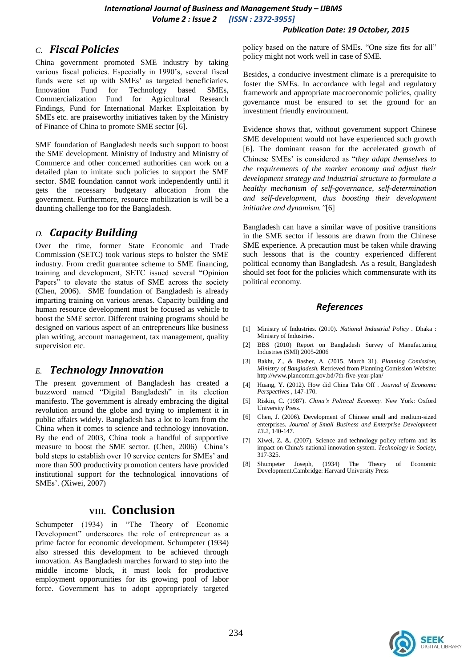#### *Publication Date: 19 October, 2015*

### *C. Fiscal Policies*

China government promoted SME industry by taking various fiscal policies. Especially in 1990's, several fiscal funds were set up with SMEs' as targeted beneficiaries. Innovation Fund for Technology based SMEs, Commercialization Fund for Agricultural Research Findings, Fund for International Market Exploitation by SMEs etc. are praiseworthy initiatives taken by the Ministry of Finance of China to promote SME sector [6].

SME foundation of Bangladesh needs such support to boost the SME development. Ministry of Industry and Ministry of Commerce and other concerned authorities can work on a detailed plan to imitate such policies to support the SME sector. SME foundation cannot work independently until it gets the necessary budgetary allocation from the government. Furthermore, resource mobilization is will be a daunting challenge too for the Bangladesh.

### *D. Capacity Building*

Over the time, former State Economic and Trade Commission (SETC) took various steps to bolster the SME industry. From credit guarantee scheme to SME financing, training and development, SETC issued several "Opinion Papers" to elevate the status of SME across the society (Chen, 2006). SME foundation of Bangladesh is already imparting training on various arenas. Capacity building and human resource development must be focused as vehicle to boost the SME sector. Different training programs should be designed on various aspect of an entrepreneurs like business plan writing, account management, tax management, quality supervision etc.

### *E. Technology Innovation*

The present government of Bangladesh has created a buzzword named "Digital Bangladesh" in its election manifesto. The government is already embracing the digital revolution around the globe and trying to implement it in public affairs widely. Bangladesh has a lot to learn from the China when it comes to science and technology innovation. By the end of 2003, China took a handful of supportive measure to boost the SME sector. (Chen, 2006) China's bold steps to establish over 10 service centers for SMEs' and more than 500 productivity promotion centers have provided institutional support for the technological innovations of SMEs'. (Xiwei, 2007)

### **VIII. Conclusion**

Schumpeter (1934) in "The Theory of Economic Development" underscores the role of entrepreneur as a prime factor for economic development. Schumpeter (1934) also stressed this development to be achieved through innovation. As Bangladesh marches forward to step into the middle income block, it must look for productive employment opportunities for its growing pool of labor force. Government has to adopt appropriately targeted policy based on the nature of SMEs. "One size fits for all" policy might not work well in case of SME.

Besides, a conducive investment climate is a prerequisite to foster the SMEs. In accordance with legal and regulatory framework and appropriate macroeconomic policies, quality governance must be ensured to set the ground for an investment friendly environment.

Evidence shows that, without government support Chinese SME development would not have experienced such growth [6]. The dominant reason for the accelerated growth of Chinese SMEs' is considered as "*they adapt themselves to the requirements of the market economy and adjust their development strategy and industrial structure to formulate a healthy mechanism of self-governance, self-determination and self-development, thus boosting their development initiative and dynamism."*[6]

Bangladesh can have a similar wave of positive transitions in the SME sector if lessons are drawn from the Chinese SME experience. A precaution must be taken while drawing such lessons that is the country experienced different political economy than Bangladesh. As a result, Bangladesh should set foot for the policies which commensurate with its political economy.

#### *References*

- [1] Ministry of Industries. (2010). *National Industrial Policy .* Dhaka : Ministry of Industries.
- [2] BBS (2010) Report on Bangladesh Survey of Manufacturing Industries (SMI) 2005-2006
- [3] Bakht, Z., & Basher, A. (2015, March 31). *Planning Comission, Ministry of Bangladesh.* Retrieved from Planning Comission Website: http://www.plancomm.gov.bd/7th-five-year-plan/
- [4] Huang, Y. (2012). How did China Take Off . *Journal of Economic Perspectives* , 147-170.
- [5] Riskin, C. (1987). *China's Political Economy.* New York: Oxford University Press.
- [6] Chen, J. (2006). Development of Chinese small and medium-sized enterprises. *Journal of Small Business and Enterprise Development 13.2*, 140-147.
- [7] Xiwei, Z. &. (2007). Science and technology policy reform and its impact on China's national innovation system. *Technology in Society*, 317-325.
- [8] Shumpeter Joseph, (1934) The Theory of Economic Development.Cambridge: Harvard University Press